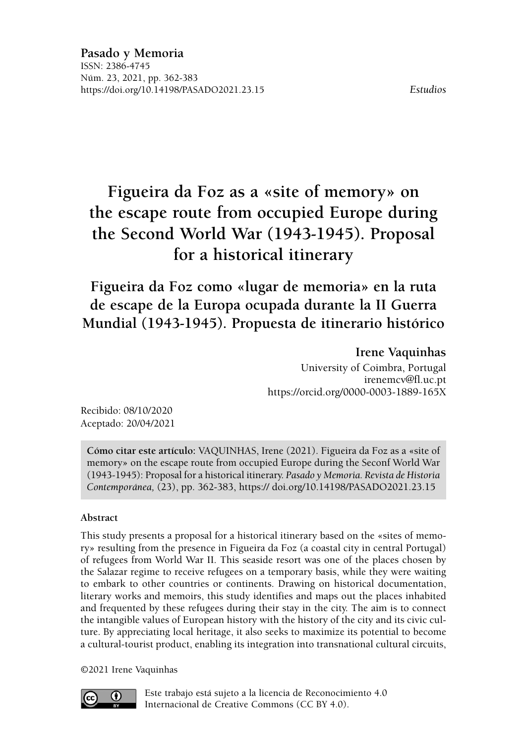# **Figueira da Foz as a «site of memory» on the escape route from occupied Europe during the Second World War (1943-1945). Proposal for a historical itinerary**

**Figueira da Foz como «lugar de memoria» en la ruta de escape de la Europa ocupada durante la II Guerra Mundial (1943-1945). Propuesta de itinerario histórico**

### **Irene Vaquinhas**

University of Coimbra, Portugal [irenemcv@fl.uc.pt](mailto:irenemcv@fl.uc.pt) <https://orcid.org/0000-0003-1889-165X>

Recibido: 08/10/2020 Aceptado: 20/04/2021

**Cómo citar este artículo:** VAQUINHAS, Irene (2021). Figueira da Foz as a «site of memory» on the escape route from occupied Europe during the Seconf World War (1943-1945): Proposal for a historical itinerary. *Pasado y Memoria. Revista de Historia Contemporánea,* (23), pp. [362-](#page-0-0)[383,](#page-21-0) https:// [doi.org/10.14198/PASADO2021.23.15](http://doi.org/10.14198/PASADO2021.23.15)

### <span id="page-0-0"></span>**Abstract**

This study presents a proposal for a historical itinerary based on the «sites of memory» resulting from the presence in Figueira da Foz (a coastal city in central Portugal) of refugees from World War II. This seaside resort was one of the places chosen by the Salazar regime to receive refugees on a temporary basis, while they were waiting to embark to other countries or continents. Drawing on historical documentation, literary works and memoirs, this study identifies and maps out the places inhabited and frequented by these refugees during their stay in the city. The aim is to connect the intangible values of European history with the history of the city and its civic culture. By appreciating local heritage, it also seeks to maximize its potential to become a cultural-tourist product, enabling its integration into transnational cultural circuits,

©2021 Irene Vaquinhas



[Este trabajo está sujeto a la licencia de Reconocimiento 4.0](https://creativecommons.org/licenses/by/4.0/)  [Internacional de Creative Commons \(CC BY 4.0\).](https://creativecommons.org/licenses/by/4.0/)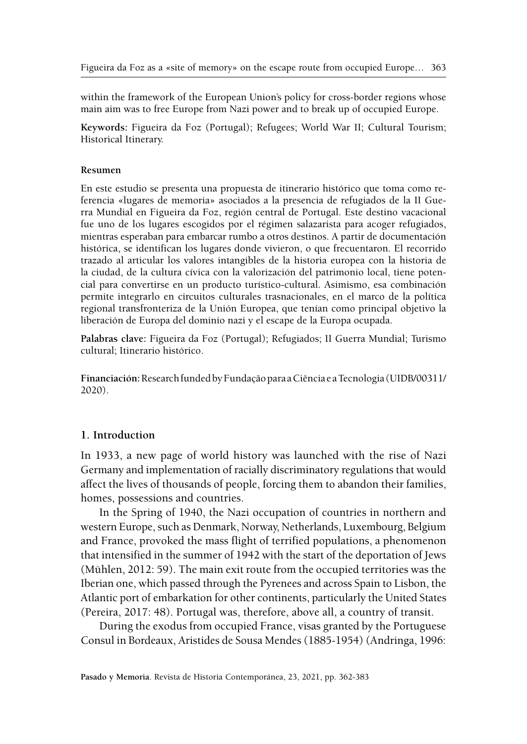within the framework of the European Union's policy for cross-border regions whose main aim was to free Europe from Nazi power and to break up of occupied Europe.

**Keywords:** Figueira da Foz (Portugal); Refugees; World War II; Cultural Tourism; Historical Itinerary.

#### **Resumen**

En este estudio se presenta una propuesta de itinerario histórico que toma como referencia «lugares de memoria» asociados a la presencia de refugiados de la II Guerra Mundial en Figueira da Foz, región central de Portugal. Este destino vacacional fue uno de los lugares escogidos por el régimen salazarista para acoger refugiados, mientras esperaban para embarcar rumbo a otros destinos. A partir de documentación histórica, se identifican los lugares donde vivieron, o que frecuentaron. El recorrido trazado al articular los valores intangibles de la historia europea con la historia de la ciudad, de la cultura cívica con la valorización del patrimonio local, tiene potencial para convertirse en un producto turístico-cultural. Asimismo, esa combinación permite integrarlo en circuitos culturales trasnacionales, en el marco de la política regional transfronteriza de la Unión Europea, que tenían como principal objetivo la liberación de Europa del dominio nazi y el escape de la Europa ocupada.

**Palabras clave:** Figueira da Foz (Portugal); Refugiados; II Guerra Mundial; Turismo cultural; Itinerario histórico.

**Financiación:** Research funded by Fundação para a Ciência e a Tecnologia (UIDB/00311/ 2020).

#### **1. Introduction**

In 1933, a new page of world history was launched with the rise of Nazi Germany and implementation of racially discriminatory regulations that would affect the lives of thousands of people, forcing them to abandon their families, homes, possessions and countries.

In the Spring of 1940, the Nazi occupation of countries in northern and western Europe, such as Denmark, Norway, Netherlands, Luxembourg, Belgium and France, provoked the mass flight of terrified populations, a phenomenon that intensified in the summer of 1942 with the start of the deportation of Jews (Mühlen, 2012: 59). The main exit route from the occupied territories was the Iberian one, which passed through the Pyrenees and across Spain to Lisbon, the Atlantic port of embarkation for other continents, particularly the United States (Pereira, 2017: 48). Portugal was, therefore, above all, a country of transit.

During the exodus from occupied France, visas granted by the Portuguese Consul in Bordeaux, Aristides de Sousa Mendes (1885-1954) (Andringa, 1996: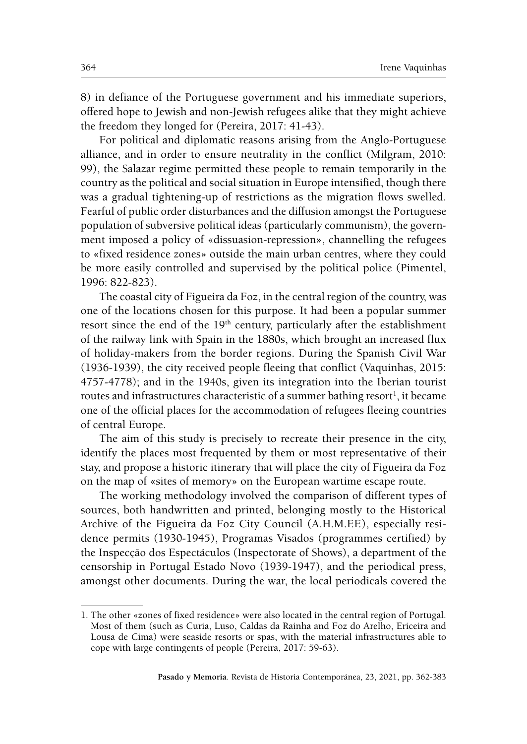8) in defiance of the Portuguese government and his immediate superiors, offered hope to Jewish and non-Jewish refugees alike that they might achieve the freedom they longed for (Pereira, 2017: 41-43).

For political and diplomatic reasons arising from the Anglo-Portuguese alliance, and in order to ensure neutrality in the conflict (Milgram, 2010: 99), the Salazar regime permitted these people to remain temporarily in the country as the political and social situation in Europe intensified, though there was a gradual tightening-up of restrictions as the migration flows swelled. Fearful of public order disturbances and the diffusion amongst the Portuguese population of subversive political ideas (particularly communism), the government imposed a policy of «dissuasion-repression», channelling the refugees to «fixed residence zones» outside the main urban centres, where they could be more easily controlled and supervised by the political police (Pimentel, 1996: 822-823).

The coastal city of Figueira da Foz, in the central region of the country, was one of the locations chosen for this purpose. It had been a popular summer resort since the end of the 19<sup>th</sup> century, particularly after the establishment of the railway link with Spain in the 1880s, which brought an increased flux of holiday-makers from the border regions. During the Spanish Civil War (1936-1939), the city received people fleeing that conflict (Vaquinhas, 2015: 4757-4778); and in the 1940s, given its integration into the Iberian tourist routes and infrastructures characteristic of a summer bathing resort<sup>1</sup>, it became one of the official places for the accommodation of refugees fleeing countries of central Europe.

The aim of this study is precisely to recreate their presence in the city, identify the places most frequented by them or most representative of their stay, and propose a historic itinerary that will place the city of Figueira da Foz on the map of «sites of memory» on the European wartime escape route.

The working methodology involved the comparison of different types of sources, both handwritten and printed, belonging mostly to the Historical Archive of the Figueira da Foz City Council (A.H.M.F.F.), especially residence permits (1930-1945), Programas Visados (programmes certified) by the Inspecção dos Espectáculos (Inspectorate of Shows), a department of the censorship in Portugal Estado Novo (1939-1947), and the periodical press, amongst other documents. During the war, the local periodicals covered the

<sup>1.</sup> The other «zones of fixed residence» were also located in the central region of Portugal. Most of them (such as Curia, Luso, Caldas da Rainha and Foz do Arelho, Ericeira and Lousa de Cima) were seaside resorts or spas, with the material infrastructures able to cope with large contingents of people (Pereira, 2017: 59-63).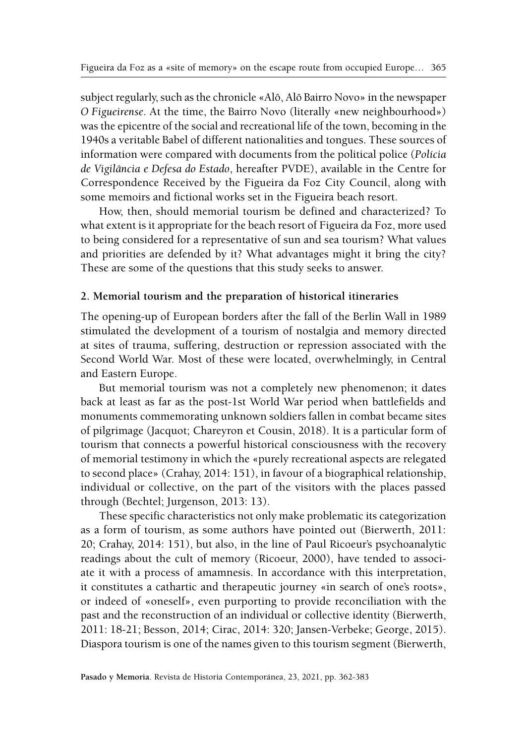subject regularly, such as the chronicle «Alô, Alô Bairro Novo» in the newspaper *O Figueirense*. At the time, the Bairro Novo (literally «new neighbourhood») was the epicentre of the social and recreational life of the town, becoming in the 1940s a veritable Babel of different nationalities and tongues. These sources of information were compared with documents from the political police (*Polícia de Vigilância e Defesa do Estado*, hereafter PVDE), available in the Centre for Correspondence Received by the Figueira da Foz City Council, along with some memoirs and fictional works set in the Figueira beach resort.

How, then, should memorial tourism be defined and characterized? To what extent is it appropriate for the beach resort of Figueira da Foz, more used to being considered for a representative of sun and sea tourism? What values and priorities are defended by it? What advantages might it bring the city? These are some of the questions that this study seeks to answer.

### **2. Memorial tourism and the preparation of historical itineraries**

The opening-up of European borders after the fall of the Berlin Wall in 1989 stimulated the development of a tourism of nostalgia and memory directed at sites of trauma, suffering, destruction or repression associated with the Second World War. Most of these were located, overwhelmingly, in Central and Eastern Europe.

But memorial tourism was not a completely new phenomenon; it dates back at least as far as the post-1st World War period when battlefields and monuments commemorating unknown soldiers fallen in combat became sites of pilgrimage (Jacquot; Chareyron et Cousin, 2018). It is a particular form of tourism that connects a powerful historical consciousness with the recovery of memorial testimony in which the «purely recreational aspects are relegated to second place» (Crahay, 2014: 151), in favour of a biographical relationship, individual or collective, on the part of the visitors with the places passed through (Bechtel; Jurgenson, 2013: 13).

These specific characteristics not only make problematic its categorization as a form of tourism, as some authors have pointed out (Bierwerth, 2011: 20; Crahay, 2014: 151), but also, in the line of Paul Ricoeur's psychoanalytic readings about the cult of memory (Ricoeur, 2000), have tended to associate it with a process of amamnesis. In accordance with this interpretation, it constitutes a cathartic and therapeutic journey «in search of one's roots», or indeed of «oneself», even purporting to provide reconciliation with the past and the reconstruction of an individual or collective identity (Bierwerth, 2011: 18-21; Besson, 2014; Cirac, 2014: 320; Jansen-Verbeke; George, 2015). Diaspora tourism is one of the names given to this tourism segment (Bierwerth,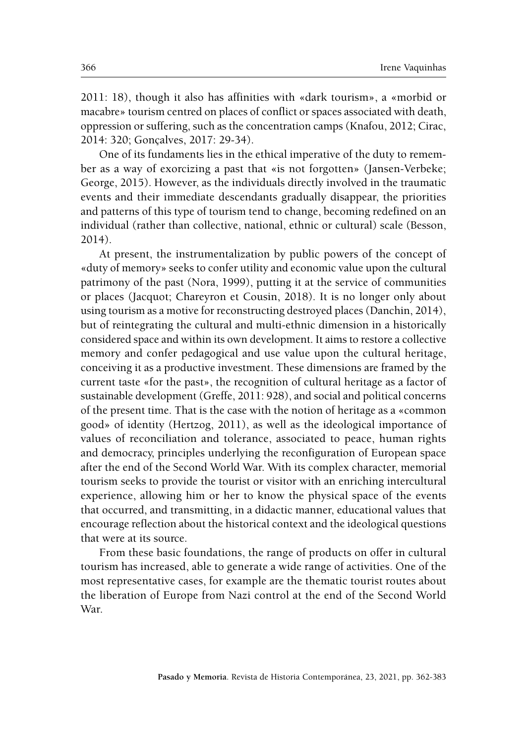2011: 18), though it also has affinities with «dark tourism», a «morbid or macabre» tourism centred on places of conflict or spaces associated with death, oppression or suffering, such as the concentration camps (Knafou, 2012; Cirac, 2014: 320; Gonçalves, 2017: 29-34).

One of its fundaments lies in the ethical imperative of the duty to remember as a way of exorcizing a past that «is not forgotten» (Jansen-Verbeke; George, 2015). However, as the individuals directly involved in the traumatic events and their immediate descendants gradually disappear, the priorities and patterns of this type of tourism tend to change, becoming redefined on an individual (rather than collective, national, ethnic or cultural) scale (Besson, 2014).

At present, the instrumentalization by public powers of the concept of «duty of memory» seeks to confer utility and economic value upon the cultural patrimony of the past (Nora, 1999), putting it at the service of communities or places (Jacquot; Chareyron et Cousin, 2018). It is no longer only about using tourism as a motive for reconstructing destroyed places (Danchin, 2014), but of reintegrating the cultural and multi-ethnic dimension in a historically considered space and within its own development. It aims to restore a collective memory and confer pedagogical and use value upon the cultural heritage, conceiving it as a productive investment. These dimensions are framed by the current taste «for the past», the recognition of cultural heritage as a factor of sustainable development (Greffe, 2011: 928), and social and political concerns of the present time. That is the case with the notion of heritage as a «common good» of identity (Hertzog, 2011), as well as the ideological importance of values of reconciliation and tolerance, associated to peace, human rights and democracy, principles underlying the reconfiguration of European space after the end of the Second World War. With its complex character, memorial tourism seeks to provide the tourist or visitor with an enriching intercultural experience, allowing him or her to know the physical space of the events that occurred, and transmitting, in a didactic manner, educational values that encourage reflection about the historical context and the ideological questions that were at its source.

From these basic foundations, the range of products on offer in cultural tourism has increased, able to generate a wide range of activities. One of the most representative cases, for example are the thematic tourist routes about the liberation of Europe from Nazi control at the end of the Second World War.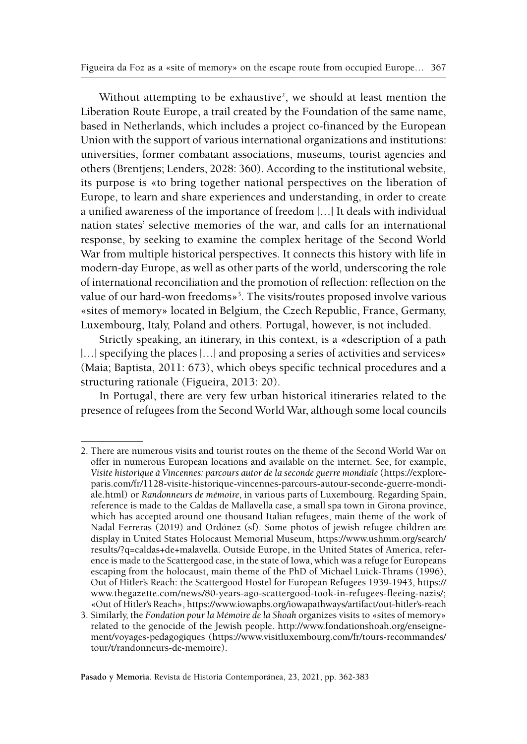Without attempting to be exhaustive<sup>2</sup>, we should at least mention the Liberation Route Europe, a trail created by the Foundation of the same name, based in Netherlands, which includes a project co-financed by the European Union with the support of various international organizations and institutions: universities, former combatant associations, museums, tourist agencies and others (Brentjens; Lenders, 2028: 360). According to the institutional website, its purpose is «to bring together national perspectives on the liberation of Europe, to learn and share experiences and understanding, in order to create a unified awareness of the importance of freedom |…| It deals with individual nation states' selective memories of the war, and calls for an international response, by seeking to examine the complex heritage of the Second World War from multiple historical perspectives. It connects this history with life in modern-day Europe, as well as other parts of the world, underscoring the role of international reconciliation and the promotion of reflection: reflection on the value of our hard-won freedoms»<sup>3</sup>. The visits/routes proposed involve various «sites of memory» located in Belgium, the Czech Republic, France, Germany, Luxembourg, Italy, Poland and others. Portugal, however, is not included.

Strictly speaking, an itinerary, in this context, is a «description of a path |...| specifying the places |...| and proposing a series of activities and services» (Maia; Baptista, 2011: 673), which obeys specific technical procedures and a structuring rationale (Figueira, 2013: 20).

In Portugal, there are very few urban historical itineraries related to the presence of refugees from the Second World War, although some local councils

<sup>2.</sup> There are numerous visits and tourist routes on the theme of the Second World War on offer in numerous European locations and available on the internet. See, for example, *Visite historique à Vincennes: parcours autor de la seconde guerre mondiale* [\(https://explore](https://exploreparis.com/fr/1128-visite-historique-vincennes-parcours-autour-seconde-guerre-mondiale.html)[paris.com/fr/1128-visite-historique-vincennes-parcours-autour-seconde-guerre-mondi](https://exploreparis.com/fr/1128-visite-historique-vincennes-parcours-autour-seconde-guerre-mondiale.html)[ale.html](https://exploreparis.com/fr/1128-visite-historique-vincennes-parcours-autour-seconde-guerre-mondiale.html)[\)](https://exploreparis.com/fr/1128-visite-historique-vincennes-parcours-autour-seconde-guerre-mondiale.html)) or *Randonneurs de mémoire*, in various parts of Luxembourg. Regarding Spain, reference is made to the Caldas de Mallavella case, a small spa town in Girona province, which has accepted around one thousand Italian refugees, main theme of the work of Nadal Ferreras (2019) and Ordónez (sf). Some photos of jewish refugee children are display in United States Holocaust Memorial Museum, [https://www.ushmm.org/search/](https://www.ushmm.org/search/results/?q=caldas+de+malavella) [results/?q=caldas+de+malavella.](https://www.ushmm.org/search/results/?q=caldas+de+malavella) Outside Europe, in the United States of America, reference is made to the Scattergood case, in the state of Iowa, which was a refuge for Europeans escaping from the holocaust, main theme of the PhD of Michael Luick-Thrams (1996), Out of Hitler's Reach: the Scattergood Hostel for European Refugees 1939-1943, [https://](https://www.thegazette.com/news/80-years-ago-scattergood-took-in-refugees-fleeing-nazis/) [www.thegazette.com/news/80-years-ago-scattergood-took-in-refugees-fleeing-nazis/;](https://www.thegazette.com/news/80-years-ago-scattergood-took-in-refugees-fleeing-nazis/) «Out of Hitler's Reach», [https://www.iowapbs.org/iowapathways/artifact/out-hitler's-reach](https://www.iowapbs.org/iowapathways/artifact/out-hitler’s-reach)

<sup>3.</sup> Similarly, the *Fondation pour la Mémoire de la Shoah* organizes visits to «sites of memory» related to the genocide of the Jewish people. [http://www.fondationshoah.org/enseigne](http://www.fondationshoah.org/enseignement/voyages-pedagogiques)[ment/voyages-pedagogiques](http://www.fondationshoah.org/enseignement/voyages-pedagogiques) [\(https://www.visitluxembourg.com/fr/tours-recommandes/](https://www.visitluxembourg.com/fr/tours-recommandes/tour/t/randonneurs-de-memoire) [tour/t/randonneurs-de-memoire](https://www.visitluxembourg.com/fr/tours-recommandes/tour/t/randonneurs-de-memoire)).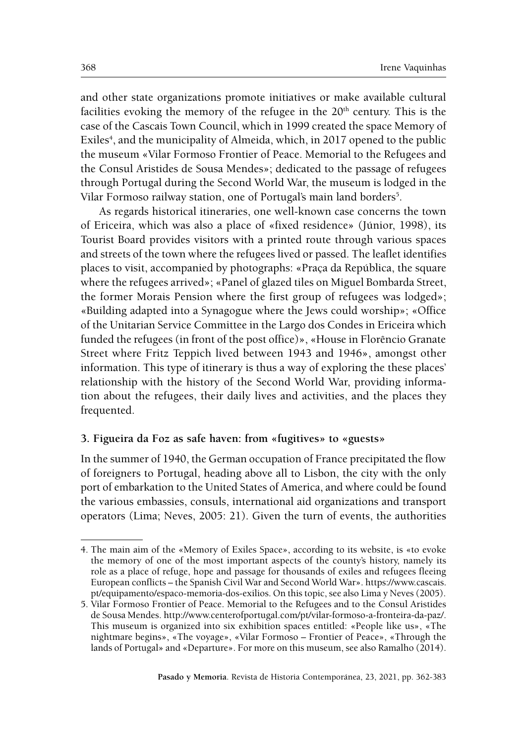and other state organizations promote initiatives or make available cultural facilities evoking the memory of the refugee in the 20<sup>th</sup> century. This is the case of the Cascais Town Council, which in 1999 created the space Memory of Exiles<sup>4</sup>, and the municipality of Almeida, which, in 2017 opened to the public the museum «Vilar Formoso Frontier of Peace. Memorial to the Refugees and the Consul Aristides de Sousa Mendes»; dedicated to the passage of refugees through Portugal during the Second World War, the museum is lodged in the Vilar Formoso railway station, one of Portugal's main land borders<sup>5</sup>.

As regards historical itineraries, one well-known case concerns the town of Ericeira, which was also a place of «fixed residence» (Júnior, 1998), its Tourist Board provides visitors with a printed route through various spaces and streets of the town where the refugees lived or passed. The leaflet identifies places to visit, accompanied by photographs: «Praça da República, the square where the refugees arrived»; «Panel of glazed tiles on Miguel Bombarda Street, the former Morais Pension where the first group of refugees was lodged»; «Building adapted into a Synagogue where the Jews could worship»; «Office of the Unitarian Service Committee in the Largo dos Condes in Ericeira which funded the refugees (in front of the post office)», «House in Florêncio Granate Street where Fritz Teppich lived between 1943 and 1946», amongst other information. This type of itinerary is thus a way of exploring the these places' relationship with the history of the Second World War, providing information about the refugees, their daily lives and activities, and the places they frequented.

### **3. Figueira da Foz as safe haven: from «fugitives» to «guests»**

In the summer of 1940, the German occupation of France precipitated the flow of foreigners to Portugal, heading above all to Lisbon, the city with the only port of embarkation to the United States of America, and where could be found the various embassies, consuls, international aid organizations and transport operators (Lima; Neves, 2005: 21). Given the turn of events, the authorities

<sup>4.</sup> The main aim of the «Memory of Exiles Space», according to its website, is «to evoke the memory of one of the most important aspects of the county's history, namely its role as a place of refuge, hope and passage for thousands of exiles and refugees fleeing European conflicts – the Spanish Civil War and Second World War». [https://www.cascais.](https://www.cascais.pt/equipamento/espaco-memoria-dos-exilios) [pt/equipamento/espaco-memoria-dos-exilios.](https://www.cascais.pt/equipamento/espaco-memoria-dos-exilios) On this topic, see also Lima y Neves (2005).

<sup>5.</sup> Vilar Formoso Frontier of Peace. Memorial to the Refugees and to the Consul Aristides de Sousa Mendes. [http://www.centerofportugal.com/pt/vilar-formoso-a-fronteira-da-paz/.](http://www.centerofportugal.com/pt/vilar-formoso-a-fronteira-da-paz/) This museum is organized into six exhibition spaces entitled: «People like us», «The nightmare begins», «The voyage», «Vilar Formoso – Frontier of Peace», «Through the lands of Portugal» and «Departure». For more on this museum, see also Ramalho (2014).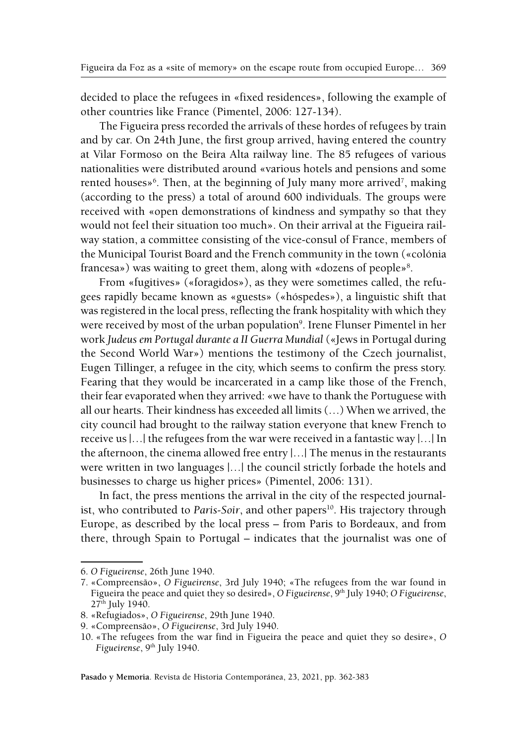decided to place the refugees in «fixed residences», following the example of other countries like France (Pimentel, 2006: 127-134).

The Figueira press recorded the arrivals of these hordes of refugees by train and by car. On 24th June, the first group arrived, having entered the country at Vilar Formoso on the Beira Alta railway line. The 85 refugees of various nationalities were distributed around «various hotels and pensions and some rented houses»<sup>6</sup>. Then, at the beginning of July many more arrived<sup>7</sup>, making (according to the press) a total of around 600 individuals. The groups were received with «open demonstrations of kindness and sympathy so that they would not feel their situation too much». On their arrival at the Figueira railway station, a committee consisting of the vice-consul of France, members of the Municipal Tourist Board and the French community in the town («colónia francesa») was waiting to greet them, along with «dozens of people»<sup>8</sup>.

From «fugitives» («foragidos»), as they were sometimes called, the refugees rapidly became known as «guests» («hóspedes»), a linguistic shift that was registered in the local press, reflecting the frank hospitality with which they were received by most of the urban population<sup>9</sup>. Irene Flunser Pimentel in her work *Judeus em Portugal durante a II Guerra Mundial* («Jews in Portugal during the Second World War») mentions the testimony of the Czech journalist, Eugen Tillinger, a refugee in the city, which seems to confirm the press story. Fearing that they would be incarcerated in a camp like those of the French, their fear evaporated when they arrived: «we have to thank the Portuguese with all our hearts. Their kindness has exceeded all limits (…) When we arrived, the city council had brought to the railway station everyone that knew French to receive us |…| the refugees from the war were received in a fantastic way |…| In the afternoon, the cinema allowed free entry |…| The menus in the restaurants were written in two languages |…| the council strictly forbade the hotels and businesses to charge us higher prices» (Pimentel, 2006: 131).

In fact, the press mentions the arrival in the city of the respected journalist, who contributed to *Paris-Soir*, and other papers<sup>10</sup>. His trajectory through Europe, as described by the local press – from Paris to Bordeaux, and from there, through Spain to Portugal – indicates that the journalist was one of

<sup>6.</sup> *O Figueirense*, 26th June 1940.

<sup>7. «</sup>Compreensão», *O Figueirense*, 3rd July 1940; «The refugees from the war found in Figueira the peace and quiet they so desired», *O Figueirense*, <sup>9th</sup> July 1940; *O Figueirense*, 27<sup>th</sup> July 1940.

<sup>8. «</sup>Refugiados», *O Figueirense*, 29th June 1940.

<sup>9. «</sup>Compreensão», *O Figueirense*, 3rd July 1940.

<sup>10. «</sup>The refugees from the war find in Figueira the peace and quiet they so desire», *O Figueirense*, 9<sup>th</sup> July 1940.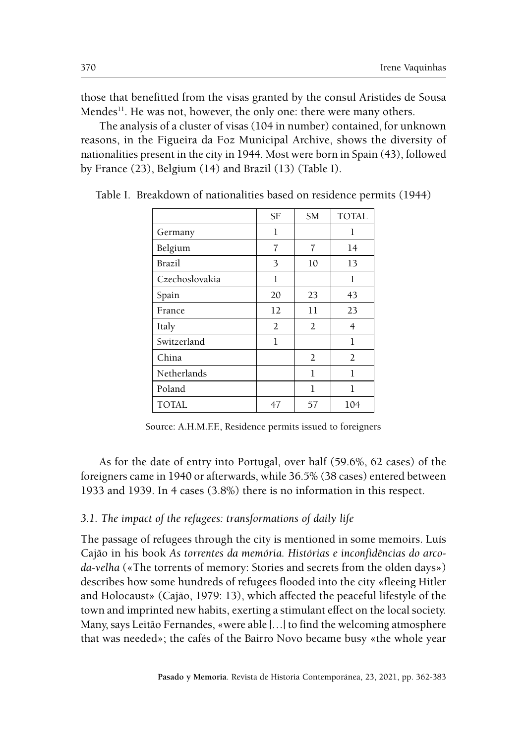those that benefitted from the visas granted by the consul Aristides de Sousa Mendes<sup>11</sup>. He was not, however, the only one: there were many others.

The analysis of a cluster of visas (104 in number) contained, for unknown reasons, in the Figueira da Foz Municipal Archive, shows the diversity of nationalities present in the city in 1944. Most were born in Spain (43), followed by France (23), Belgium (14) and Brazil (13) (Table I).

|                | <b>SF</b> | <b>SM</b>      | <b>TOTAL</b> |
|----------------|-----------|----------------|--------------|
| Germany        | 1         |                | 1            |
| Belgium        | 7         | 7              | 14           |
| Brazil         | 3         | 10             | 13           |
| Czechoslovakia | 1         |                | 1            |
| Spain          | 20        | 23             | 43           |
| France         | 12        | 11             | 23           |
| Italy          | 2         | $\overline{2}$ | 4            |
| Switzerland    | 1         |                | 1            |
| China          |           | 2              | 2            |
| Netherlands    |           | 1              | 1            |
| Poland         |           | 1              | 1            |
| <b>TOTAL</b>   | 47        | 57             | 104          |

Table I. Breakdown of nationalities based on residence permits (1944)

Source: A.H.M.F.F., Residence permits issued to foreigners

As for the date of entry into Portugal, over half (59.6%, 62 cases) of the foreigners came in 1940 or afterwards, while 36.5% (38 cases) entered between 1933 and 1939. In 4 cases (3.8%) there is no information in this respect.

### *3.1. The impact of the refugees: transformations of daily life*

The passage of refugees through the city is mentioned in some memoirs. Luís Cajão in his book *As torrentes da memória. Histórias e inconfidências do arcoda-velha* («The torrents of memory: Stories and secrets from the olden days») describes how some hundreds of refugees flooded into the city «fleeing Hitler and Holocaust» (Cajão, 1979: 13), which affected the peaceful lifestyle of the town and imprinted new habits, exerting a stimulant effect on the local society. Many, says Leitão Fernandes, «were able |…| to find the welcoming atmosphere that was needed»; the cafés of the Bairro Novo became busy «the whole year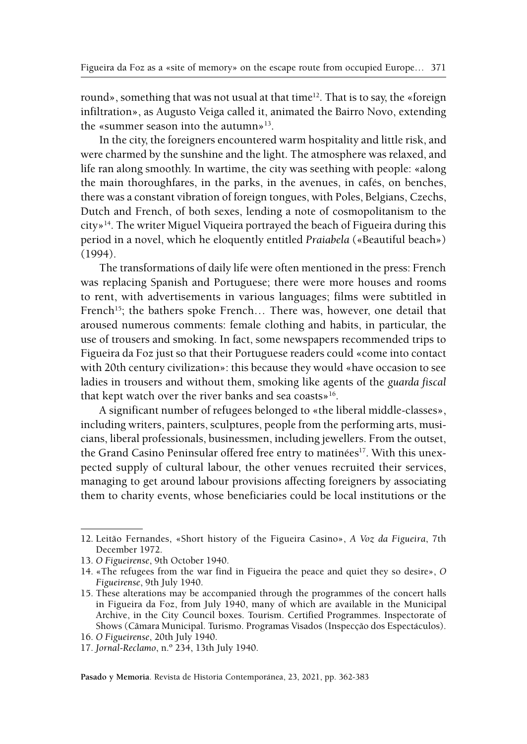round», something that was not usual at that time<sup>12</sup>. That is to say, the «foreign infiltration», as Augusto Veiga called it, animated the Bairro Novo, extending the «summer season into the autumn» $13$ .

In the city, the foreigners encountered warm hospitality and little risk, and were charmed by the sunshine and the light. The atmosphere was relaxed, and life ran along smoothly. In wartime, the city was seething with people: «along the main thoroughfares, in the parks, in the avenues, in cafés, on benches, there was a constant vibration of foreign tongues, with Poles, Belgians, Czechs, Dutch and French, of both sexes, lending a note of cosmopolitanism to the city»14. The writer Miguel Viqueira portrayed the beach of Figueira during this period in a novel, which he eloquently entitled *Praiabela* («Beautiful beach») (1994).

The transformations of daily life were often mentioned in the press: French was replacing Spanish and Portuguese; there were more houses and rooms to rent, with advertisements in various languages; films were subtitled in French<sup>15</sup>; the bathers spoke French... There was, however, one detail that aroused numerous comments: female clothing and habits, in particular, the use of trousers and smoking. In fact, some newspapers recommended trips to Figueira da Foz just so that their Portuguese readers could «come into contact with 20th century civilization»: this because they would «have occasion to see ladies in trousers and without them, smoking like agents of the *guarda fiscal* that kept watch over the river banks and sea coasts»16.

A significant number of refugees belonged to «the liberal middle-classes», including writers, painters, sculptures, people from the performing arts, musicians, liberal professionals, businessmen, including jewellers. From the outset, the Grand Casino Peninsular offered free entry to matinées<sup>17</sup>. With this unexpected supply of cultural labour, the other venues recruited their services, managing to get around labour provisions affecting foreigners by associating them to charity events, whose beneficiaries could be local institutions or the

<sup>12.</sup> Leitão Fernandes, «Short history of the Figueira Casino», *A Voz da Figueira*, 7th December 1972.

<sup>13.</sup> *O Figueirense*, 9th October 1940.

<sup>14. «</sup>The refugees from the war find in Figueira the peace and quiet they so desire», *O Figueirense*, 9th July 1940.

<sup>15.</sup> These alterations may be accompanied through the programmes of the concert halls in Figueira da Foz, from July 1940, many of which are available in the Municipal Archive, in the City Council boxes. Tourism. Certified Programmes. Inspectorate of Shows (Câmara Municipal. Turismo. Programas Visados (Inspecção dos Espectáculos).

<sup>16.</sup> *O Figueirense*, 20th July 1940.

<sup>17.</sup> *Jornal-Reclamo*, n.º 234, 13th July 1940.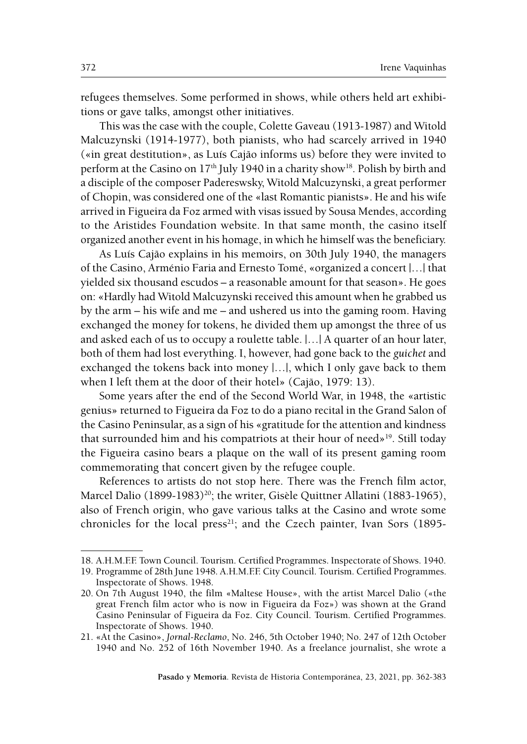refugees themselves. Some performed in shows, while others held art exhibitions or gave talks, amongst other initiatives.

This was the case with the couple, Colette Gaveau (1913-1987) and Witold Malcuzynski (1914-1977), both pianists, who had scarcely arrived in 1940 («in great destitution», as Luís Cajão informs us) before they were invited to perform at the Casino on  $17<sup>th</sup>$  July 1940 in a charity show<sup>18</sup>. Polish by birth and a disciple of the composer Padereswsky, Witold Malcuzynski, a great performer of Chopin, was considered one of the «last Romantic pianists». He and his wife arrived in Figueira da Foz armed with visas issued by Sousa Mendes, according to the Aristides Foundation website. In that same month, the casino itself organized another event in his homage, in which he himself was the beneficiary.

As Luís Cajão explains in his memoirs, on 30th July 1940, the managers of the Casino, Arménio Faria and Ernesto Tomé, «organized a concert |…| that yielded six thousand escudos – a reasonable amount for that season». He goes on: «Hardly had Witold Malcuzynski received this amount when he grabbed us by the arm – his wife and me – and ushered us into the gaming room. Having exchanged the money for tokens, he divided them up amongst the three of us and asked each of us to occupy a roulette table. |…| A quarter of an hour later, both of them had lost everything. I, however, had gone back to the *guichet* and exchanged the tokens back into money |…|, which I only gave back to them when I left them at the door of their hotel» (Cajão, 1979: 13).

Some years after the end of the Second World War, in 1948, the «artistic genius» returned to Figueira da Foz to do a piano recital in the Grand Salon of the Casino Peninsular, as a sign of his «gratitude for the attention and kindness that surrounded him and his compatriots at their hour of need»<sup>19</sup>. Still today the Figueira casino bears a plaque on the wall of its present gaming room commemorating that concert given by the refugee couple.

References to artists do not stop here. There was the French film actor, Marcel Dalio (1899-1983)<sup>20</sup>; the writer, Gisèle Quittner Allatini (1883-1965), also of French origin, who gave various talks at the Casino and wrote some chronicles for the local press<sup>21</sup>; and the Czech painter, Ivan Sors (1895-

<sup>18.</sup> A.H.M.F.F. Town Council. Tourism. Certified Programmes. Inspectorate of Shows. 1940.

<sup>19.</sup> Programme of 28th June 1948. A.H.M.F.F. City Council. Tourism. Certified Programmes. Inspectorate of Shows. 1948.

<sup>20.</sup> On 7th August 1940, the film «Maltese House», with the artist Marcel Dalio («the great French film actor who is now in Figueira da Foz») was shown at the Grand Casino Peninsular of Figueira da Foz. City Council. Tourism. Certified Programmes. Inspectorate of Shows. 1940.

<sup>21. «</sup>At the Casino», *Jornal-Reclamo*, No. 246, 5th October 1940; No. 247 of 12th October 1940 and No. 252 of 16th November 1940. As a freelance journalist, she wrote a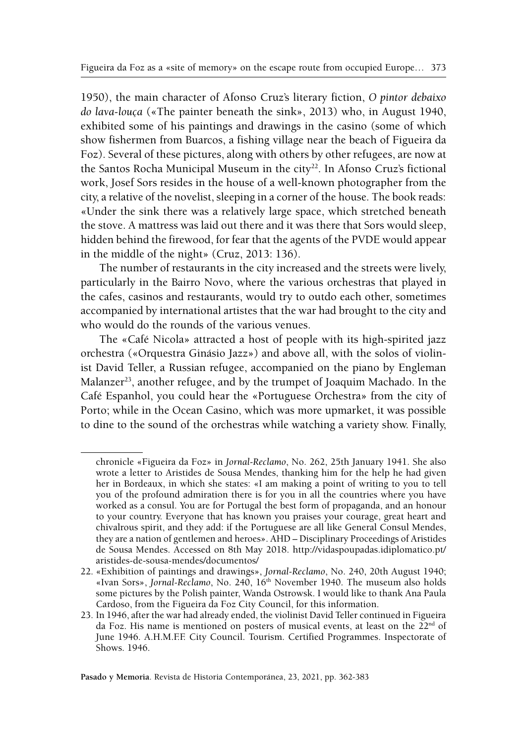1950), the main character of Afonso Cruz's literary fiction, *O pintor debaixo do lava-louça* («The painter beneath the sink», 2013) who, in August 1940, exhibited some of his paintings and drawings in the casino (some of which show fishermen from Buarcos, a fishing village near the beach of Figueira da Foz). Several of these pictures, along with others by other refugees, are now at the Santos Rocha Municipal Museum in the city<sup>22</sup>. In Afonso Cruz's fictional work, Josef Sors resides in the house of a well-known photographer from the city, a relative of the novelist, sleeping in a corner of the house. The book reads: «Under the sink there was a relatively large space, which stretched beneath the stove. A mattress was laid out there and it was there that Sors would sleep, hidden behind the firewood, for fear that the agents of the PVDE would appear in the middle of the night» (Cruz, 2013: 136).

The number of restaurants in the city increased and the streets were lively, particularly in the Bairro Novo, where the various orchestras that played in the cafes, casinos and restaurants, would try to outdo each other, sometimes accompanied by international artistes that the war had brought to the city and who would do the rounds of the various venues.

The «Café Nicola» attracted a host of people with its high-spirited jazz orchestra («Orquestra Ginásio Jazz») and above all, with the solos of violinist David Teller, a Russian refugee, accompanied on the piano by Engleman Malanzer<sup>23</sup>, another refugee, and by the trumpet of Joaquim Machado. In the Café Espanhol, you could hear the «Portuguese Orchestra» from the city of Porto; while in the Ocean Casino, which was more upmarket, it was possible to dine to the sound of the orchestras while watching a variety show. Finally,

chronicle «Figueira da Foz» in *Jornal-Reclamo*, No. 262, 25th January 1941. She also wrote a letter to Aristides de Sousa Mendes, thanking him for the help he had given her in Bordeaux, in which she states: «I am making a point of writing to you to tell you of the profound admiration there is for you in all the countries where you have worked as a consul. You are for Portugal the best form of propaganda, and an honour to your country. Everyone that has known you praises your courage, great heart and chivalrous spirit, and they add: if the Portuguese are all like General Consul Mendes, they are a nation of gentlemen and heroes». AHD – Disciplinary Proceedings of Aristides de Sousa Mendes. Accessed on 8th May 2018. [http://vidaspoupadas.idiplomatico.pt/](http://vidaspoupadas.idiplomatico.pt/aristides-de-sousa-mendes/documentos/) [aristides-de-sousa-mendes/documentos/](http://vidaspoupadas.idiplomatico.pt/aristides-de-sousa-mendes/documentos/)

<sup>22. «</sup>Exhibition of paintings and drawings», *Jornal-Reclamo*, No. 240, 20th August 1940; «Ivan Sors», *Jornal-Reclamo*, No. 240, 16th November 1940. The museum also holds some pictures by the Polish painter, Wanda Ostrowsk. I would like to thank Ana Paula Cardoso, from the Figueira da Foz City Council, for this information.

<sup>23.</sup> In 1946, after the war had already ended, the violinist David Teller continued in Figueira da Foz. His name is mentioned on posters of musical events, at least on the 22<sup>nd</sup> of June 1946. A.H.M.F.F. City Council. Tourism. Certified Programmes. Inspectorate of Shows. 1946.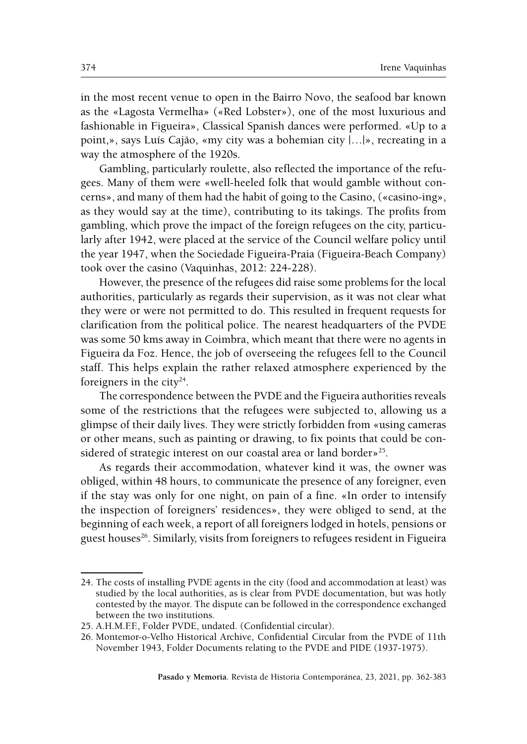in the most recent venue to open in the Bairro Novo, the seafood bar known as the «Lagosta Vermelha» («Red Lobster»), one of the most luxurious and fashionable in Figueira», Classical Spanish dances were performed. «Up to a point,», says Luís Cajão, «my city was a bohemian city |…|», recreating in a way the atmosphere of the 1920s.

Gambling, particularly roulette, also reflected the importance of the refugees. Many of them were «well-heeled folk that would gamble without concerns», and many of them had the habit of going to the Casino, («casino-ing», as they would say at the time), contributing to its takings. The profits from gambling, which prove the impact of the foreign refugees on the city, particularly after 1942, were placed at the service of the Council welfare policy until the year 1947, when the Sociedade Figueira-Praia (Figueira-Beach Company) took over the casino (Vaquinhas, 2012: 224-228).

However, the presence of the refugees did raise some problems for the local authorities, particularly as regards their supervision, as it was not clear what they were or were not permitted to do. This resulted in frequent requests for clarification from the political police. The nearest headquarters of the PVDE was some 50 kms away in Coimbra, which meant that there were no agents in Figueira da Foz. Hence, the job of overseeing the refugees fell to the Council staff. This helps explain the rather relaxed atmosphere experienced by the foreigners in the city<sup>24</sup>.

The correspondence between the PVDE and the Figueira authorities reveals some of the restrictions that the refugees were subjected to, allowing us a glimpse of their daily lives. They were strictly forbidden from «using cameras or other means, such as painting or drawing, to fix points that could be considered of strategic interest on our coastal area or land border $v^{25}$ .

As regards their accommodation, whatever kind it was, the owner was obliged, within 48 hours, to communicate the presence of any foreigner, even if the stay was only for one night, on pain of a fine. «In order to intensify the inspection of foreigners' residences», they were obliged to send, at the beginning of each week, a report of all foreigners lodged in hotels, pensions or guest houses<sup>26</sup>. Similarly, visits from foreigners to refugees resident in Figueira

<sup>24.</sup> The costs of installing PVDE agents in the city (food and accommodation at least) was studied by the local authorities, as is clear from PVDE documentation, but was hotly contested by the mayor. The dispute can be followed in the correspondence exchanged between the two institutions.

<sup>25.</sup> A.H.M.F.F., Folder PVDE, undated. (Confidential circular).

<sup>26.</sup> Montemor-o-Velho Historical Archive, Confidential Circular from the PVDE of 11th November 1943, Folder Documents relating to the PVDE and PIDE (1937-1975).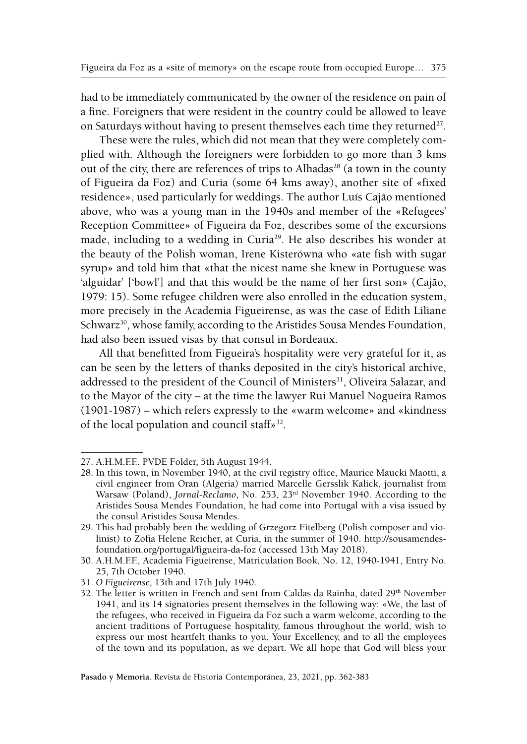had to be immediately communicated by the owner of the residence on pain of a fine. Foreigners that were resident in the country could be allowed to leave on Saturdays without having to present themselves each time they returned<sup>27</sup>.

These were the rules, which did not mean that they were completely complied with. Although the foreigners were forbidden to go more than 3 kms out of the city, there are references of trips to Alhadas<sup>28</sup> (a town in the county of Figueira da Foz) and Curia (some 64 kms away), another site of «fixed residence», used particularly for weddings. The author Luís Cajão mentioned above, who was a young man in the 1940s and member of the «Refugees' Reception Committee» of Figueira da Foz, describes some of the excursions made, including to a wedding in Curia<sup>29</sup>. He also describes his wonder at the beauty of the Polish woman, Irene Kisterówna who «ate fish with sugar syrup» and told him that «that the nicest name she knew in Portuguese was 'alguidar' ['bowl'] and that this would be the name of her first son» (Cajão, 1979: 15). Some refugee children were also enrolled in the education system, more precisely in the Academia Figueirense, as was the case of Edith Liliane Schwarz<sup>30</sup>, whose family, according to the Aristides Sousa Mendes Foundation, had also been issued visas by that consul in Bordeaux.

All that benefitted from Figueira's hospitality were very grateful for it, as can be seen by the letters of thanks deposited in the city's historical archive, addressed to the president of the Council of Ministers<sup>31</sup>, Oliveira Salazar, and to the Mayor of the city – at the time the lawyer Rui Manuel Nogueira Ramos (1901-1987) – which refers expressly to the «warm welcome» and «kindness of the local population and council staff»<sup>32</sup>.

<sup>27.</sup> A.H.M.F.F., PVDE Folder, 5th August 1944.

<sup>28.</sup> In this town, in November 1940, at the civil registry office, Maurice Maucki Maotti, a civil engineer from Oran (Algeria) married Marcelle Gersslik Kalick, journalist from Warsaw (Poland), *Jornal-Reclamo*, No. 253, 23rd November 1940. According to the Aristides Sousa Mendes Foundation, he had come into Portugal with a visa issued by the consul Aristides Sousa Mendes.

<sup>29.</sup> This had probably been the wedding of Grzegorz Fitelberg (Polish composer and violinist) to Zofia Helene Reicher, at Curia, in the summer of 1940. [http://sousamendes](http://sousamendesfoundation.org/portugal/figueira-da-foz)[foundation.org/portugal/figueira-da-foz](http://sousamendesfoundation.org/portugal/figueira-da-foz) (accessed 13th May 2018).

<sup>30.</sup> A.H.M.F.F., Academia Figueirense, Matriculation Book, No. 12, 1940-1941, Entry No. 25, 7th October 1940.

<sup>31.</sup> *O Figueirense*, 13th and 17th July 1940.

<sup>32.</sup> The letter is written in French and sent from Caldas da Rainha, dated 29<sup>th</sup> November 1941, and its 14 signatories present themselves in the following way: «We, the last of the refugees, who received in Figueira da Foz such a warm welcome, according to the ancient traditions of Portuguese hospitality, famous throughout the world, wish to express our most heartfelt thanks to you, Your Excellency, and to all the employees of the town and its population, as we depart. We all hope that God will bless your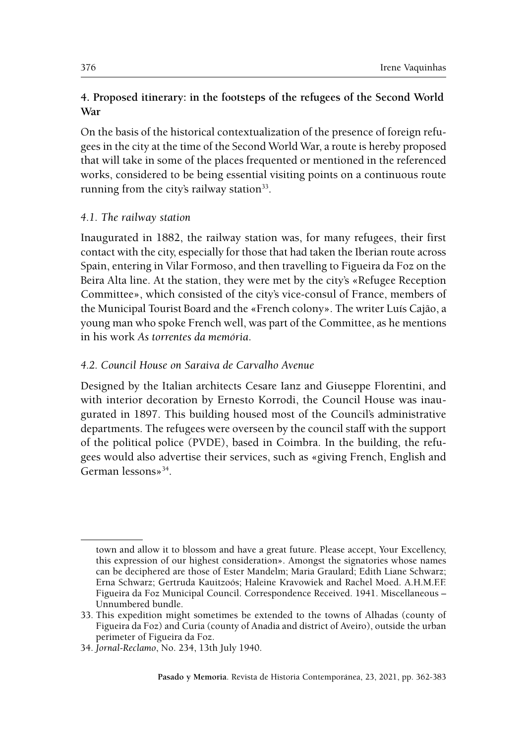### **4. Proposed itinerary: in the footsteps of the refugees of the Second World War**

On the basis of the historical contextualization of the presence of foreign refugees in the city at the time of the Second World War, a route is hereby proposed that will take in some of the places frequented or mentioned in the referenced works, considered to be being essential visiting points on a continuous route running from the city's railway station<sup>33</sup>.

### *4.1. The railway station*

Inaugurated in 1882, the railway station was, for many refugees, their first contact with the city, especially for those that had taken the Iberian route across Spain, entering in Vilar Formoso, and then travelling to Figueira da Foz on the Beira Alta line. At the station, they were met by the city's «Refugee Reception Committee», which consisted of the city's vice-consul of France, members of the Municipal Tourist Board and the «French colony». The writer Luís Cajão, a young man who spoke French well, was part of the Committee, as he mentions in his work *As torrentes da memória*.

### *4.2. Council House on Saraiva de Carvalho Avenue*

Designed by the Italian architects Cesare Ianz and Giuseppe Florentini, and with interior decoration by Ernesto Korrodi, the Council House was inaugurated in 1897. This building housed most of the Council's administrative departments. The refugees were overseen by the council staff with the support of the political police (PVDE), based in Coimbra. In the building, the refugees would also advertise their services, such as «giving French, English and German lessons»34.

town and allow it to blossom and have a great future. Please accept, Your Excellency, this expression of our highest consideration». Amongst the signatories whose names can be deciphered are those of Ester Mandelm; Maria Graulard; Edith Liane Schwarz; Erna Schwarz; Gertruda Kauitzoós; Haleine Kravowiek and Rachel Moed. A.H.M.F.F. Figueira da Foz Municipal Council. Correspondence Received. 1941. Miscellaneous – Unnumbered bundle.

<sup>33.</sup> This expedition might sometimes be extended to the towns of Alhadas (county of Figueira da Foz) and Curia (county of Anadia and district of Aveiro), outside the urban perimeter of Figueira da Foz.

<sup>34.</sup> *Jornal-Reclamo*, No. 234, 13th July 1940.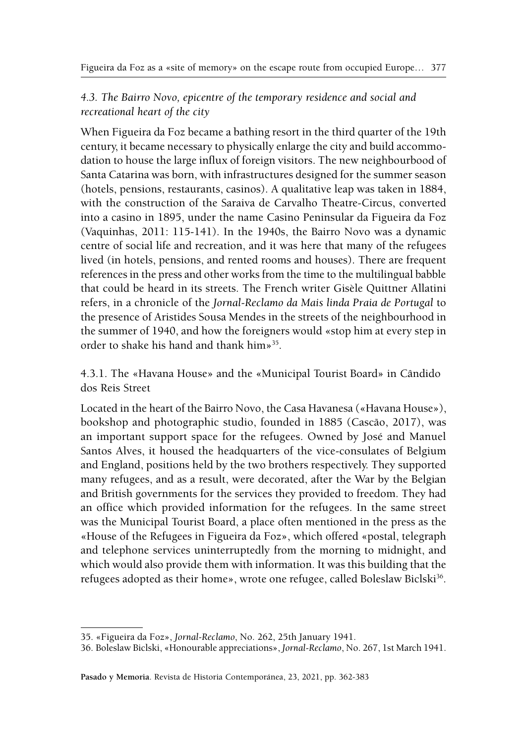## *4.3. The Bairro Novo, epicentre of the temporary residence and social and recreational heart of the city*

When Figueira da Foz became a bathing resort in the third quarter of the 19th century, it became necessary to physically enlarge the city and build accommodation to house the large influx of foreign visitors. The new neighbourbood of Santa Catarina was born, with infrastructures designed for the summer season (hotels, pensions, restaurants, casinos). A qualitative leap was taken in 1884, with the construction of the Saraiva de Carvalho Theatre-Circus, converted into a casino in 1895, under the name Casino Peninsular da Figueira da Foz (Vaquinhas, 2011: 115-141). In the 1940s, the Bairro Novo was a dynamic centre of social life and recreation, and it was here that many of the refugees lived (in hotels, pensions, and rented rooms and houses). There are frequent references in the press and other works from the time to the multilingual babble that could be heard in its streets. The French writer Gisèle Quittner Allatini refers, in a chronicle of the *Jornal-Reclamo da Mais linda Praia de Portugal* to the presence of Aristides Sousa Mendes in the streets of the neighbourhood in the summer of 1940, and how the foreigners would «stop him at every step in order to shake his hand and thank him»35.

4.3.1. The «Havana House» and the «Municipal Tourist Board» in Cândido dos Reis Street

Located in the heart of the Bairro Novo, the Casa Havanesa («Havana House»), bookshop and photographic studio, founded in 1885 (Cascão, 2017), was an important support space for the refugees. Owned by José and Manuel Santos Alves, it housed the headquarters of the vice-consulates of Belgium and England, positions held by the two brothers respectively. They supported many refugees, and as a result, were decorated, after the War by the Belgian and British governments for the services they provided to freedom. They had an office which provided information for the refugees. In the same street was the Municipal Tourist Board, a place often mentioned in the press as the «House of the Refugees in Figueira da Foz», which offered «postal, telegraph and telephone services uninterruptedly from the morning to midnight, and which would also provide them with information. It was this building that the refugees adopted as their home», wrote one refugee, called Boleslaw Biclski<sup>36</sup>.

**Pasado y Memoria**. Revista de Historia Contemporánea, 23, 2021, pp. [362](#page-0-0)[-383](#page-21-0)

<sup>35. «</sup>Figueira da Foz», *Jornal-Reclamo*, No. 262, 25th January 1941.

<sup>36.</sup> Boleslaw Biclski, «Honourable appreciations», *Jornal-Reclamo*, No. 267, 1st March 1941.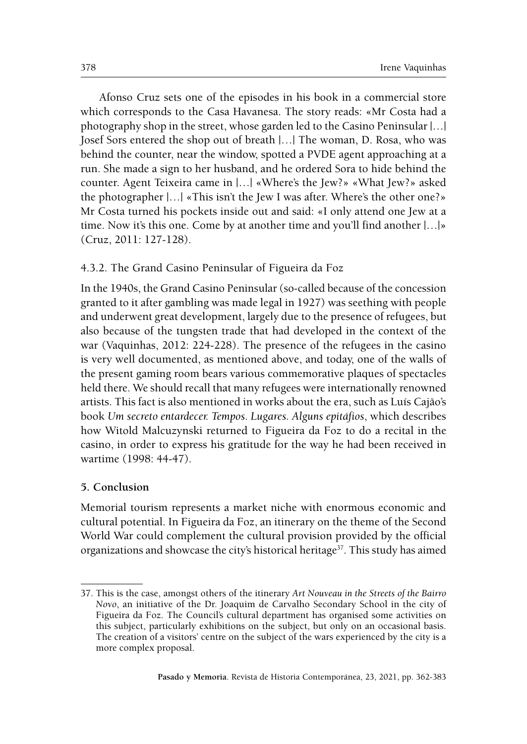Afonso Cruz sets one of the episodes in his book in a commercial store which corresponds to the Casa Havanesa. The story reads: «Mr Costa had a photography shop in the street, whose garden led to the Casino Peninsular |…| Josef Sors entered the shop out of breath |…| The woman, D. Rosa, who was behind the counter, near the window, spotted a PVDE agent approaching at a run. She made a sign to her husband, and he ordered Sora to hide behind the counter. Agent Teixeira came in |…| «Where's the Jew?» «What Jew?» asked the photographer |…| «This isn't the Jew I was after. Where's the other one?» Mr Costa turned his pockets inside out and said: «I only attend one Jew at a time. Now it's this one. Come by at another time and you'll find another |…|» (Cruz, 2011: 127-128).

### 4.3.2. The Grand Casino Peninsular of Figueira da Foz

In the 1940s, the Grand Casino Peninsular (so-called because of the concession granted to it after gambling was made legal in 1927) was seething with people and underwent great development, largely due to the presence of refugees, but also because of the tungsten trade that had developed in the context of the war (Vaquinhas, 2012: 224-228). The presence of the refugees in the casino is very well documented, as mentioned above, and today, one of the walls of the present gaming room bears various commemorative plaques of spectacles held there. We should recall that many refugees were internationally renowned artists. This fact is also mentioned in works about the era, such as Luís Cajão's book *Um secreto entardecer. Tempos. Lugares. Alguns epitáfios*, which describes how Witold Malcuzynski returned to Figueira da Foz to do a recital in the casino, in order to express his gratitude for the way he had been received in wartime (1998: 44-47).

#### **5. Conclusion**

Memorial tourism represents a market niche with enormous economic and cultural potential. In Figueira da Foz, an itinerary on the theme of the Second World War could complement the cultural provision provided by the official organizations and showcase the city's historical heritage<sup>37</sup>. This study has aimed

<sup>37.</sup> This is the case, amongst others of the itinerary *Art Nouveau in the Streets of the Bairro Novo*, an initiative of the Dr. Joaquim de Carvalho Secondary School in the city of Figueira da Foz. The Council's cultural department has organised some activities on this subject, particularly exhibitions on the subject, but only on an occasional basis. The creation of a visitors' centre on the subject of the wars experienced by the city is a more complex proposal.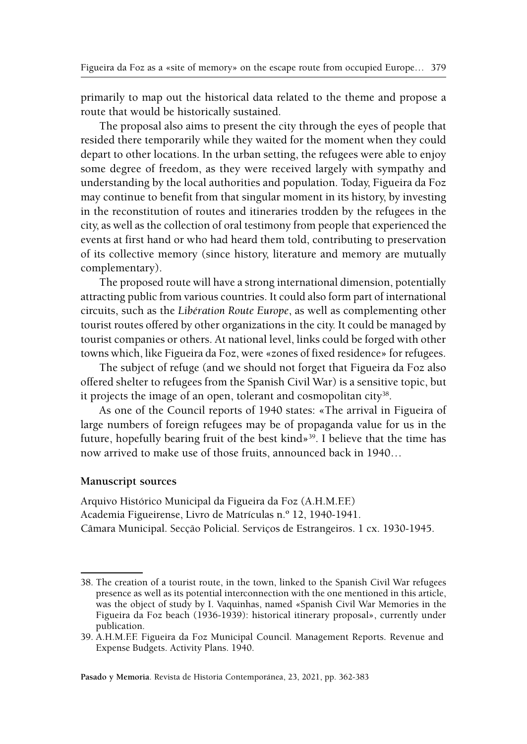primarily to map out the historical data related to the theme and propose a route that would be historically sustained.

The proposal also aims to present the city through the eyes of people that resided there temporarily while they waited for the moment when they could depart to other locations. In the urban setting, the refugees were able to enjoy some degree of freedom, as they were received largely with sympathy and understanding by the local authorities and population. Today, Figueira da Foz may continue to benefit from that singular moment in its history, by investing in the reconstitution of routes and itineraries trodden by the refugees in the city, as well as the collection of oral testimony from people that experienced the events at first hand or who had heard them told, contributing to preservation of its collective memory (since history, literature and memory are mutually complementary).

The proposed route will have a strong international dimension, potentially attracting public from various countries. It could also form part of international circuits, such as the *Libération Route Europe*, as well as complementing other tourist routes offered by other organizations in the city. It could be managed by tourist companies or others. At national level, links could be forged with other towns which, like Figueira da Foz, were «zones of fixed residence» for refugees.

The subject of refuge (and we should not forget that Figueira da Foz also offered shelter to refugees from the Spanish Civil War) is a sensitive topic, but it projects the image of an open, tolerant and cosmopolitan city<sup>38</sup>.

As one of the Council reports of 1940 states: «The arrival in Figueira of large numbers of foreign refugees may be of propaganda value for us in the future, hopefully bearing fruit of the best kind»<sup>39</sup>. I believe that the time has now arrived to make use of those fruits, announced back in 1940…

### **Manuscript sources**

Arquivo Histórico Municipal da Figueira da Foz (A.H.M.F.F.) Academia Figueirense, Livro de Matrículas n.º 12, 1940-1941. Câmara Municipal. Secção Policial. Serviços de Estrangeiros. 1 cx. 1930-1945.

<sup>38.</sup> The creation of a tourist route, in the town, linked to the Spanish Civil War refugees presence as well as its potential interconnection with the one mentioned in this article, was the object of study by I. Vaquinhas, named «Spanish Civil War Memories in the Figueira da Foz beach (1936-1939): historical itinerary proposal», currently under publication.

<sup>39.</sup> A.H.M.F.F. Figueira da Foz Municipal Council. Management Reports. Revenue and Expense Budgets. Activity Plans. 1940.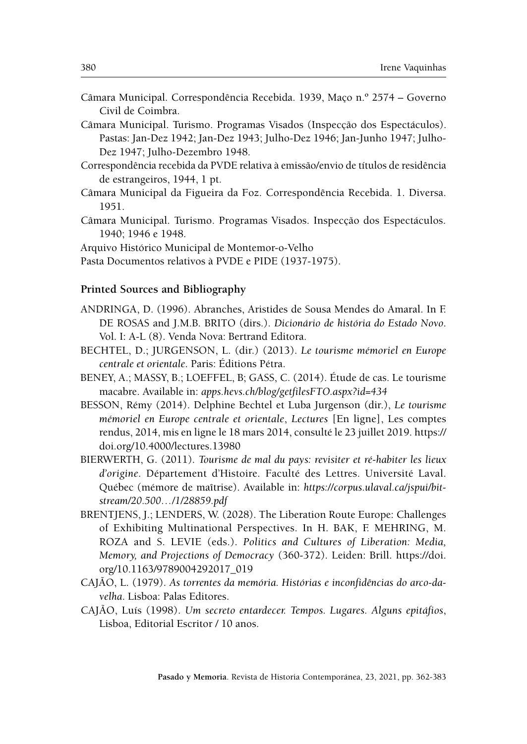- Câmara Municipal. Correspondência Recebida. 1939, Maço n.º 2574 Governo Civil de Coimbra.
- Câmara Municipal. Turismo. Programas Visados (Inspecção dos Espectáculos). Pastas: Jan-Dez 1942; Jan-Dez 1943; Julho-Dez 1946; Jan-Junho 1947; Julho-Dez 1947; Julho-Dezembro 1948.
- Correspondência recebida da PVDE relativa à emissão/envio de títulos de residência de estrangeiros, 1944, 1 pt.
- Câmara Municipal da Figueira da Foz. Correspondência Recebida. 1. Diversa. 1951.
- Câmara Municipal. Turismo. Programas Visados. Inspecção dos Espectáculos. 1940; 1946 e 1948.
- Arquivo Histórico Municipal de Montemor-o-Velho

Pasta Documentos relativos à PVDE e PIDE (1937-1975).

### **Printed Sources and Bibliography**

- ANDRINGA, D. (1996). Abranches, Aristides de Sousa Mendes do Amaral. In F. DE ROSAS and J.M.B. BRITO (dirs.). *Dicionário de história do Estado Novo*. Vol. I: A-L (8). Venda Nova: Bertrand Editora.
- BECHTEL, D.; JURGENSON, L. (dir.) (2013). *Le tourisme mémoriel en Europe centrale et orientale*. Paris: Éditions Pétra.
- BENEY, A.; MASSY, B.; LOEFFEL, B; GASS, C. (2014). Étude de cas. Le tourisme macabre. Available in: *[apps.hevs.ch/blog/getfilesFTO.aspx?id=434](http://apps.hevs.ch/blog/getfilesFTO.aspx?id=434)*
- BESSON, Rémy (2014). Delphine Bechtel et Luba Jurgenson (dir.), *Le tourisme mémoriel en Europe centrale et orientale*, *Lectures* [En ligne], Les comptes rendus, 2014, mis en ligne le 18 mars 2014, consulté le 23 juillet 2019. [https://](https://doi.org/10.4000/lectures.13980) [doi.org/10.4000/lectures.13980](https://doi.org/10.4000/lectures.13980)
- BIERWERTH, G. (2011). *Tourisme de mal du pays: revisiter et ré-habiter les lieux d'origine*. Département d'Histoire. Faculté des Lettres. Université Laval. Québec (mémore de maîtrise). Available in: *[https://corpus.ulaval.ca/jspui/bit](https://www.google.pt/url?sa=t&rct=j&q=&esrc=s&source=web&cd=1&ved=2ahUKEwi87rbVntLjAhUJmRQKHfQVC6gQFjAAegQIABAC&url=https%3A%2F%2Fcorpus.ulaval.ca%2Fjspui%2Fbitstream%2F20.500.11794%2F23203%2F1%2F28859.pdf&usg=AOvVaw1V0TYJzAVGwlG7i6sZqwFl)[stream/20.500…/1/28859.pdf](https://www.google.pt/url?sa=t&rct=j&q=&esrc=s&source=web&cd=1&ved=2ahUKEwi87rbVntLjAhUJmRQKHfQVC6gQFjAAegQIABAC&url=https%3A%2F%2Fcorpus.ulaval.ca%2Fjspui%2Fbitstream%2F20.500.11794%2F23203%2F1%2F28859.pdf&usg=AOvVaw1V0TYJzAVGwlG7i6sZqwFl)*
- BRENTJENS, J.; LENDERS, W. (2028). The Liberation Route Europe: Challenges of Exhibiting Multinational Perspectives. In H. BAK, F. MEHRING, M. ROZA and S. LEVIE (eds.). *Politics and Cultures of Liberation: Media, Memory, and Projections of Democracy* (360-372). Leiden: Brill. [https://doi.](https://doi.org/10.1163/9789004292017_019) [org/10.1163/9789004292017\\_019](https://doi.org/10.1163/9789004292017_019)
- CAJÃO, L. (1979). *As torrentes da memória. Histórias e inconfidências do arco-davelha*. Lisboa: Palas Editores.
- CAJÃO, Luís (1998). *Um secreto entardecer. Tempos. Lugares. Alguns epitáfios*, Lisboa, Editorial Escritor / 10 anos.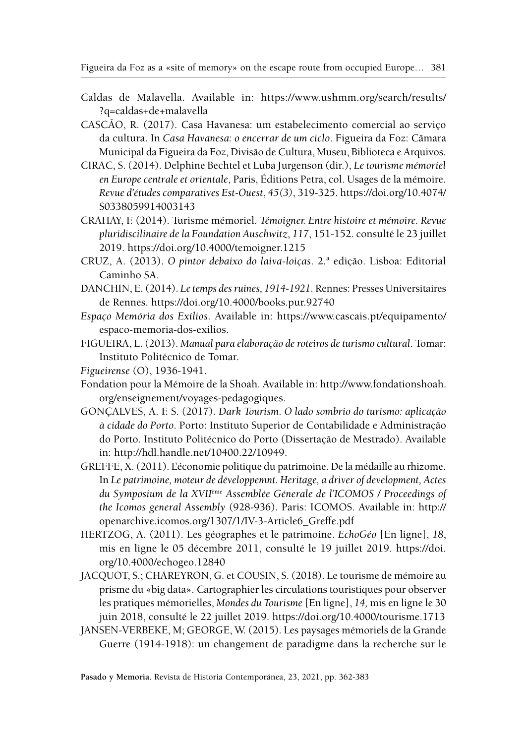- Caldas de Malavella. Available in: [https://www.ushmm.org/search/results/](https://www.ushmm.org/search/results/?q=caldas+de+malavella) [?q=caldas+de+malavella](https://www.ushmm.org/search/results/?q=caldas+de+malavella)
- CASCÃO, R. (2017). Casa Havanesa: um estabelecimento comercial ao serviço da cultura. In *Casa Havanesa: o encerrar de um ciclo*. Figueira da Foz: Câmara Municipal da Figueira da Foz, Divisão de Cultura, Museu, Biblioteca e Arquivos.
- CIRAC, S. (2014). Delphine Bechtel et Luba Jurgenson (dir.), *Le tourisme mémoriel en Europe centrale et orientale*, Paris, Éditions Petra, col. Usages de la mémoire. *Revue d'études comparatives Est-Ouest*, *45(3)*, 319-325. [https://doi.org/10.4074/](https://doi.org/10.4074/S0338059914003143) [S0338059914003143](https://doi.org/10.4074/S0338059914003143)
- CRAHAY, F. (2014). Turisme mémoriel. *Témoigner. Entre histoire et mémoire. Revue pluridiscilinaire de la Foundation Auschwitz*, *117*, 151-152. consulté le 23 juillet 2019. <https://doi.org/10.4000/temoigner.1215>
- CRUZ, A. (2013). *O pintor debaixo do laiva-loiças*. 2.ª edição. Lisboa: Editorial Caminho SA.
- DANCHIN, E. (2014). *Le temps des ruines, 1914-1921*. Rennes: Presses Universitaires de Rennes.<https://doi.org/10.4000/books.pur.92740>
- *Espaço Memória dos Exílios*. Available in: [https://www.cascais.pt/equipamento/](https://www.cascais.pt/equipamento/espaco-memoria-dos-exilios) [espaco-memoria-dos-exilios.](https://www.cascais.pt/equipamento/espaco-memoria-dos-exilios)
- FIGUEIRA, L. (2013). *Manual para elaboração de roteiros de turismo cultural*. Tomar: Instituto Politécnico de Tomar.
- *Figueirense* (O), 1936-1941.
- Fondation pour la Mémoire de la Shoah. Available in: [http://www.fondationshoah.](http://www.fondationshoah.org/enseignement/voyages-pedagogiques) [org/enseignement/voyages-pedagogiques.](http://www.fondationshoah.org/enseignement/voyages-pedagogiques)
- GONÇALVES, A. F. S. (2017). *Dark Tourism. O lado sombrio do turismo: aplicação à cidade do Porto*. Porto: Instituto Superior de Contabilidade e Administração do Porto. Instituto Politécnico do Porto (Dissertação de Mestrado). Available in:<http://hdl.handle.net/10400.22/10949>.
- GREFFE, X. (2011). L'économie politique du patrimoine. De la médaille au rhizome. In *Le patrimoine, moteur de développemnt. Heritage, a driver of development, Actes du Symposium de la XVII*ème *Assemblée Génerale de l'ICOMOS / Proceedings of the Icomos general Assembly* (928-936). Paris: ICOMOS. Available in: [http://](http://openarchive.icomos.org/1307/1/IV-3-Article6_Greffe.pdf) [openarchive.icomos.org/1307/1/IV-3-Article6\\_Greffe.pdf](http://openarchive.icomos.org/1307/1/IV-3-Article6_Greffe.pdf)
- HERTZOG, A. (2011). Les géographes et le patrimoine. *EchoGéo* [En ligne], *18*, mis en ligne le 05 décembre 2011, consulté le 19 juillet 2019. [https://doi.](https://doi.org/10.4000/echogeo.12840) [org/10.4000/echogeo.12840](https://doi.org/10.4000/echogeo.12840)
- JACQUOT, S.; CHAREYRON, G. et COUSIN, S. (2018). Le tourisme de mémoire au prisme du «big data». Cartographier les circulations touristiques pour observer les pratiques mémorielles, *Mondes du Tourisme* [En ligne], *14,* mis en ligne le 30 juin 2018, consulté le 22 juillet 2019.<https://doi.org/10.4000/tourisme.1713>
- JANSEN-VERBEKE, M; GEORGE, W. (2015). Les paysages mémoriels de la Grande Guerre (1914-1918): un changement de paradigme dans la recherche sur le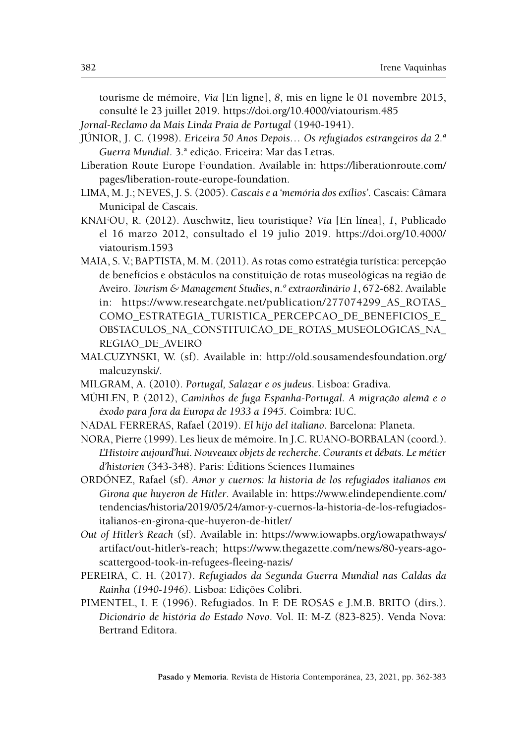tourisme de mémoire, *Via* [En ligne], *8*, mis en ligne le 01 novembre 2015, consulté le 23 juillet 2019. <https://doi.org/10.4000/viatourism.485>

*Jornal-Reclamo da Mais Linda Praia de Portugal* (1940-1941).

- JÚNIOR, J. C. (1998). *Ericeira 50 Anos Depois… Os refugiados estrangeiros da 2.ª Guerra Mundial*. 3.ª edição. Ericeira: Mar das Letras.
- Liberation Route Europe Foundation. Available in: [https://liberationroute.com/](https://liberationroute.com/pages/liberation-route-europe-foundation) [pages/liberation-route-europe-foundation.](https://liberationroute.com/pages/liberation-route-europe-foundation)
- LIMA, M. J.; NEVES, J. S. (2005). *Cascais e a 'memória dos exílios'*. Cascais: Câmara Municipal de Cascais.
- KNAFOU, R. (2012). Auschwitz, lieu touristique? *Via* [En línea], *1*, Publicado el 16 marzo 2012, consultado el 19 julio 2019. [https://doi.org/10.4000/](https://doi.org/10.4000/viatourism.1593) [viatourism.1593](https://doi.org/10.4000/viatourism.1593)
- MAIA, S. V.; BAPTISTA, M. M. (2011). As rotas como estratégia turística: percepção de benefícios e obstáculos na constituição de rotas museológicas na região de Aveiro. *Tourism & Management Studies*, *n.º extraordinário 1*, 672-682. Available in: [https://www.researchgate.net/publication/277074299\\_AS\\_ROTAS\\_](https://www.researchgate.net/publication/277074299_AS_ROTAS_COMO_ESTRATEGIA_TURISTICA_PERCEPCAO_DE_BENEFICIOS_E_OBSTACULOS_NA_CONSTITUICAO_DE_ROTAS_MUSEOLOGICAS_NA_REGIAO_DE_AVEIRO) [COMO\\_ESTRATEGIA\\_TURISTICA\\_PERCEPCAO\\_DE\\_BENEFICIOS\\_E\\_](https://www.researchgate.net/publication/277074299_AS_ROTAS_COMO_ESTRATEGIA_TURISTICA_PERCEPCAO_DE_BENEFICIOS_E_OBSTACULOS_NA_CONSTITUICAO_DE_ROTAS_MUSEOLOGICAS_NA_REGIAO_DE_AVEIRO) [OBSTACULOS\\_NA\\_CONSTITUICAO\\_DE\\_ROTAS\\_MUSEOLOGICAS\\_NA\\_](https://www.researchgate.net/publication/277074299_AS_ROTAS_COMO_ESTRATEGIA_TURISTICA_PERCEPCAO_DE_BENEFICIOS_E_OBSTACULOS_NA_CONSTITUICAO_DE_ROTAS_MUSEOLOGICAS_NA_REGIAO_DE_AVEIRO) [REGIAO\\_DE\\_AVEIRO](https://www.researchgate.net/publication/277074299_AS_ROTAS_COMO_ESTRATEGIA_TURISTICA_PERCEPCAO_DE_BENEFICIOS_E_OBSTACULOS_NA_CONSTITUICAO_DE_ROTAS_MUSEOLOGICAS_NA_REGIAO_DE_AVEIRO)
- MALCUZYNSKI, W. (sf). Available in: [http://old.sousamendesfoundation.org/](http://old.sousamendesfoundation.org/malcuzynski/) [malcuzynski/.](http://old.sousamendesfoundation.org/malcuzynski/)
- MILGRAM, A. (2010). *Portugal, Salazar e os judeus*. Lisboa: Gradiva.
- MÜHLEN, P. (2012), *Caminhos de fuga Espanha-Portugal. A migração alemã e o êxodo para fora da Europa de 1933 a 1945*. Coimbra: IUC.
- NADAL FERRERAS, Rafael (2019). *El hijo del italiano*. Barcelona: Planeta.
- NORA, Pierre (1999). Les lieux de mémoire. In J.C. RUANO-BORBALAN (coord.). *L'Histoire aujourd'hui. Nouveaux objets de recherche. Courants et débats. Le métier d'historien* (343-348). Paris: Éditions Sciences Humaines
- ORDÓNEZ, Rafael (sf). *Amor y cuernos: la historia de los refugiados italianos em Girona que huyeron de Hitler*. Available in: [https://www.elindependiente.com/](https://www.elindependiente.com/tendencias/historia/2019/05/24/amor-y-cuernos-la-historia-de-los-refugiados-italianos-en-girona-que-huyeron-de-hitler/) [tendencias/historia/2019/05/24/amor-y-cuernos-la-historia-de-los-refugiados](https://www.elindependiente.com/tendencias/historia/2019/05/24/amor-y-cuernos-la-historia-de-los-refugiados-italianos-en-girona-que-huyeron-de-hitler/)[italianos-en-girona-que-huyeron-de-hitler/](https://www.elindependiente.com/tendencias/historia/2019/05/24/amor-y-cuernos-la-historia-de-los-refugiados-italianos-en-girona-que-huyeron-de-hitler/)
- *Out of Hitler's Reach* (sf). Available in: [https://www.iowapbs.org/iowapathways/](https://www.iowapbs.org/iowapathways/artifact/out-hitler’s-reach) [artifact/out-hitler's-reach;](https://www.iowapbs.org/iowapathways/artifact/out-hitler’s-reach) [https://www.thegazette.com/news/80-years-ago](https://www.thegazette.com/news/80-years-ago-scattergood-took-in-refugees-fleeing-nazis/)[scattergood-took-in-refugees-fleeing-nazis/](https://www.thegazette.com/news/80-years-ago-scattergood-took-in-refugees-fleeing-nazis/)
- PEREIRA, C. H. (2017). *Refugiados da Segunda Guerra Mundial nas Caldas da Rainha (1940-1946)*. Lisboa: Edições Colibri.
- PIMENTEL, I. F. (1996). Refugiados. In F. DE ROSAS e J.M.B. BRITO (dirs.). *Dicionário de história do Estado Novo*. Vol. II: M-Z (823-825). Venda Nova: Bertrand Editora.